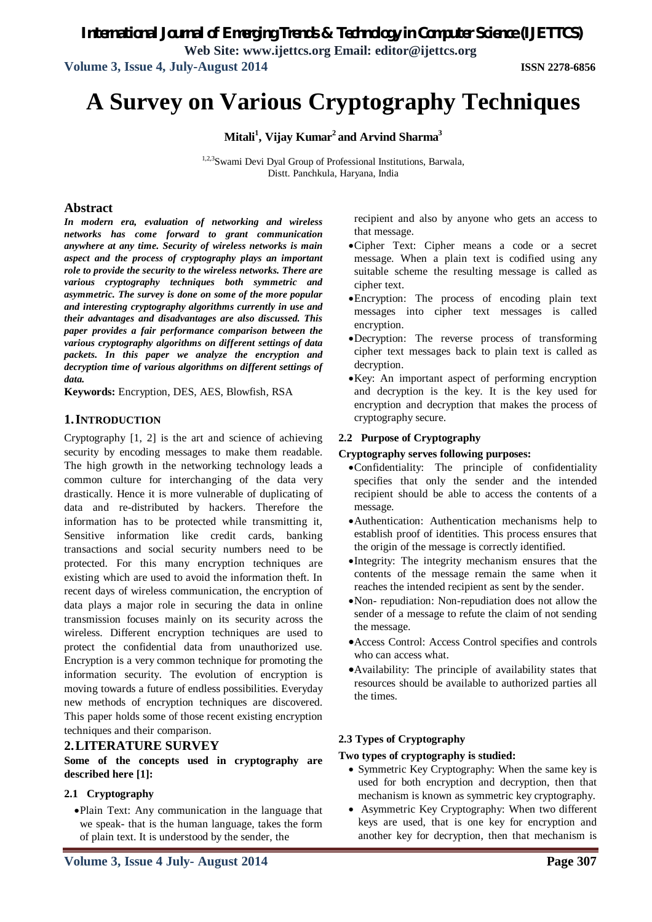*International Journal of Emerging Trends & Technology in Computer Science (IJETTCS)*

**Web Site: www.ijettcs.org Email: editor@ijettcs.org**

**Volume 3, Issue 4, July-August 2014 ISSN 2278-6856**

# **A Survey on Various Cryptography Techniques**

**Mitali<sup>1</sup> , Vijay Kumar<sup>2</sup> and Arvind Sharma<sup>3</sup>**

1,2,3Swami Devi Dyal Group of Professional Institutions, Barwala, Distt. Panchkula, Haryana, India

#### **Abstract**

*In modern era, evaluation of networking and wireless networks has come forward to grant communication anywhere at any time. Security of wireless networks is main aspect and the process of cryptography plays an important role to provide the security to the wireless networks. There are various cryptography techniques both symmetric and asymmetric. The survey is done on some of the more popular and interesting cryptography algorithms currently in use and their advantages and disadvantages are also discussed. This paper provides a fair performance comparison between the various cryptography algorithms on different settings of data packets. In this paper we analyze the encryption and decryption time of various algorithms on different settings of data.*

**Keywords:** Encryption, DES, AES, Blowfish, RSA

#### **1.INTRODUCTION**

Cryptography [1, 2] is the art and science of achieving security by encoding messages to make them readable. The high growth in the networking technology leads a common culture for interchanging of the data very drastically. Hence it is more vulnerable of duplicating of data and re-distributed by hackers. Therefore the information has to be protected while transmitting it, Sensitive information like credit cards, banking transactions and social security numbers need to be protected. For this many encryption techniques are existing which are used to avoid the information theft. In recent days of wireless communication, the encryption of data plays a major role in securing the data in online transmission focuses mainly on its security across the wireless. Different encryption techniques are used to protect the confidential data from unauthorized use. Encryption is a very common technique for promoting the information security. The evolution of encryption is moving towards a future of endless possibilities. Everyday new methods of encryption techniques are discovered. This paper holds some of those recent existing encryption techniques and their comparison.

#### **2.LITERATURE SURVEY**

**Some of the concepts used in cryptography are described here [1]:**

#### **2.1 Cryptography**

Plain Text: Any communication in the language that we speak- that is the human language, takes the form of plain text. It is understood by the sender, the

recipient and also by anyone who gets an access to that message.

- Cipher Text: Cipher means a code or a secret message. When a plain text is codified using any suitable scheme the resulting message is called as cipher text.
- Encryption: The process of encoding plain text messages into cipher text messages is called encryption.
- Decryption: The reverse process of transforming cipher text messages back to plain text is called as decryption.
- Key: An important aspect of performing encryption and decryption is the key. It is the key used for encryption and decryption that makes the process of cryptography secure.

#### **2.2 Purpose of Cryptography**

#### **Cryptography serves following purposes:**

- Confidentiality: The principle of confidentiality specifies that only the sender and the intended recipient should be able to access the contents of a message.
- Authentication: Authentication mechanisms help to establish proof of identities. This process ensures that the origin of the message is correctly identified.
- Integrity: The integrity mechanism ensures that the contents of the message remain the same when it reaches the intended recipient as sent by the sender.
- Non- repudiation: Non-repudiation does not allow the sender of a message to refute the claim of not sending the message.
- Access Control: Access Control specifies and controls who can access what.
- Availability: The principle of availability states that resources should be available to authorized parties all the times.

#### **2.3 Types of Cryptography**

#### **Two types of cryptography is studied:**

- Symmetric Key Cryptography: When the same key is used for both encryption and decryption, then that mechanism is known as symmetric key cryptography.
- Asymmetric Key Cryptography: When two different keys are used, that is one key for encryption and another key for decryption, then that mechanism is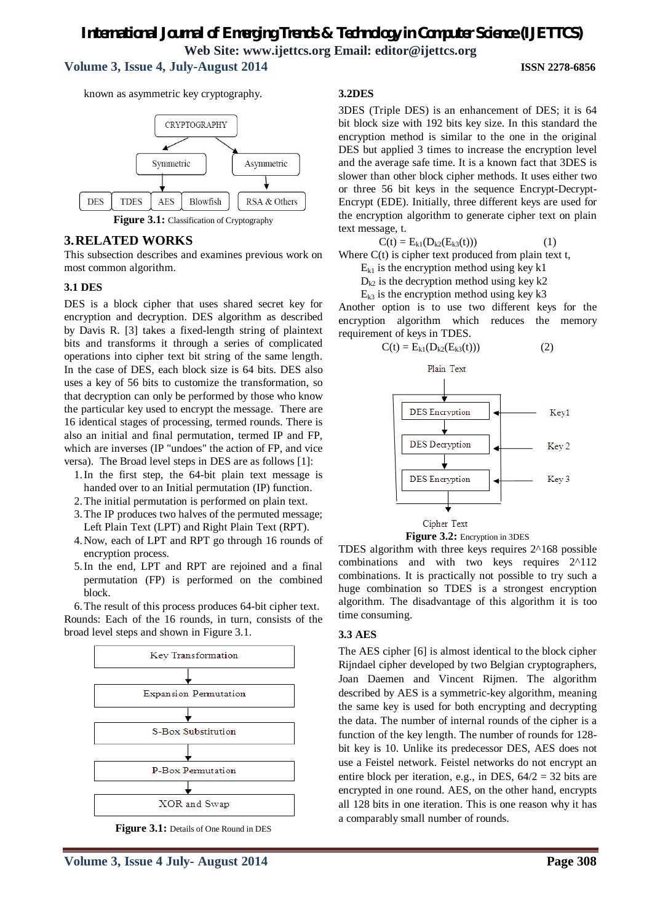# **Volume 3, Issue 4, July-August 2014 ISSN 2278-6856**

known as asymmetric key cryptography.



Figure 3.1: Classification of Cryptography

# **3.RELATED WORKS**

This subsection describes and examines previous work on most common algorithm.

#### **3.1 DES**

DES is a block cipher that uses shared secret key for encryption and decryption. DES algorithm as described by Davis R. [3] takes a fixed-length string of plaintext bits and transforms it through a series of complicated operations into cipher text bit string of the same length. In the case of DES, each block size is 64 bits. DES also uses a key of 56 bits to customize the transformation, so that decryption can only be performed by those who know the particular key used to encrypt the message. There are 16 identical stages of processing, termed rounds. There is also an initial and final permutation, termed IP and FP, which are inverses (IP "undoes" the action of FP, and vice versa). The Broad level steps in DES are as follows [1]:

- 1.In the first step, the 64-bit plain text message is handed over to an Initial permutation (IP) function.
- 2.The initial permutation is performed on plain text.
- 3.The IP produces two halves of the permuted message; Left Plain Text (LPT) and Right Plain Text (RPT).
- 4.Now, each of LPT and RPT go through 16 rounds of encryption process.
- 5.In the end, LPT and RPT are rejoined and a final permutation (FP) is performed on the combined block.

6.The result of this process produces 64-bit cipher text. Rounds: Each of the 16 rounds, in turn, consists of the broad level steps and shown in Figure 3.1.



Figure 3.1: Details of One Round in DES

#### **3.2DES**

3DES (Triple DES) is an enhancement of DES; it is 64 bit block size with 192 bits key size. In this standard the encryption method is similar to the one in the original DES but applied 3 times to increase the encryption level and the average safe time. It is a known fact that 3DES is slower than other block cipher methods. It uses either two or three 56 bit keys in the sequence Encrypt-Decrypt-Encrypt (EDE). Initially, three different keys are used for the encryption algorithm to generate cipher text on plain text message, t.

$$
C(t) = E_{k1}(D_{k2}(E_{k3}(t)))
$$
 (1)

Where  $C(t)$  is cipher text produced from plain text t,

 $E_{k1}$  is the encryption method using key k1

 $D_{k2}$  is the decryption method using key k2

 $E_{k3}$  is the encryption method using key k3

Another option is to use two different keys for the encryption algorithm which reduces the memory requirement of keys in TDES.

$$
C(t) = E_{k1}(D_{k2}(E_{k3}(t)))
$$
 (2)



Cipher Text

**Figure 3.2:** Encryption in 3DES

TDES algorithm with three keys requires 2^168 possible combinations and with two keys requires 2^112 combinations. It is practically not possible to try such a huge combination so TDES is a strongest encryption algorithm. The disadvantage of this algorithm it is too time consuming.

#### **3.3 AES**

The AES cipher [6] is almost identical to the block cipher Rijndael cipher developed by two Belgian cryptographers, Joan Daemen and Vincent Rijmen. The algorithm described by AES is a symmetric-key algorithm, meaning the same key is used for both encrypting and decrypting the data. The number of internal rounds of the cipher is a function of the key length. The number of rounds for 128 bit key is 10. Unlike its predecessor DES, AES does not use a Feistel network. Feistel networks do not encrypt an entire block per iteration, e.g., in DES, 64/2 = 32 bits are encrypted in one round. AES, on the other hand, encrypts all 128 bits in one iteration. This is one reason why it has a comparably small number of rounds.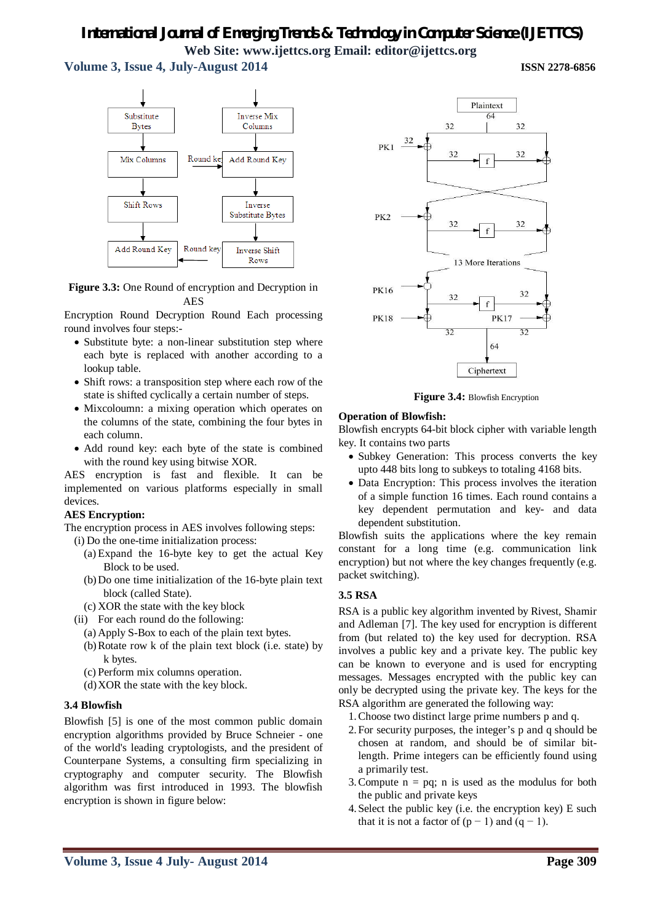**Volume 3, Issue 4, July-August 2014 ISSN 2278-6856**



#### **Figure 3.3:** One Round of encryption and Decryption in AES

Encryption Round Decryption Round Each processing round involves four steps:-

- Substitute byte: a non-linear substitution step where each byte is replaced with another according to a lookup table.
- Shift rows: a transposition step where each row of the state is shifted cyclically a certain number of steps.
- Mixcoloumn: a mixing operation which operates on the columns of the state, combining the four bytes in each column.
- Add round key: each byte of the state is combined with the round key using bitwise XOR.

AES encryption is fast and flexible. It can be implemented on various platforms especially in small devices.

#### **AES Encryption:**

The encryption process in AES involves following steps:

(i) Do the one-time initialization process:

- (a) Expand the 16-byte key to get the actual Key Block to be used.
- (b)Do one time initialization of the 16-byte plain text block (called State).
- (c) XOR the state with the key block
- (ii) For each round do the following:
	- (a) Apply S-Box to each of the plain text bytes.
	- (b)Rotate row k of the plain text block (i.e. state) by k bytes.
	- (c) Perform mix columns operation.
	- (d)XOR the state with the key block.

#### **3.4 Blowfish**

Blowfish [5] is one of the most common public domain encryption algorithms provided by Bruce Schneier - one of the world's leading cryptologists, and the president of Counterpane Systems, a consulting firm specializing in cryptography and computer security. The Blowfish algorithm was first introduced in 1993. The blowfish encryption is shown in figure below:



 **Figure 3.4:** Blowfish Encryption

#### **Operation of Blowfish:**

Blowfish encrypts 64-bit block cipher with variable length key. It contains two parts

- Subkey Generation: This process converts the key upto 448 bits long to subkeys to totaling 4168 bits.
- Data Encryption: This process involves the iteration of a simple function 16 times. Each round contains a key dependent permutation and key- and data dependent substitution.

Blowfish suits the applications where the key remain constant for a long time (e.g. communication link encryption) but not where the key changes frequently (e.g. packet switching).

#### **3.5 RSA**

RSA is a public key algorithm invented by Rivest, Shamir and Adleman [7]. The key used for encryption is different from (but related to) the key used for decryption. RSA involves a public key and a private key. The public key can be known to everyone and is used for encrypting messages. Messages encrypted with the public key can only be decrypted using the private key. The keys for the RSA algorithm are generated the following way:

- 1.Choose two distinct large prime numbers p and q.
- 2.For security purposes, the integer's p and q should be chosen at random, and should be of similar bitlength. Prime integers can be efficiently found using a primarily test.
- 3. Compute  $n = pq$ ; n is used as the modulus for both the public and private keys
- 4.Select the public key (i.e. the encryption key) E such that it is not a factor of  $(p - 1)$  and  $(q - 1)$ .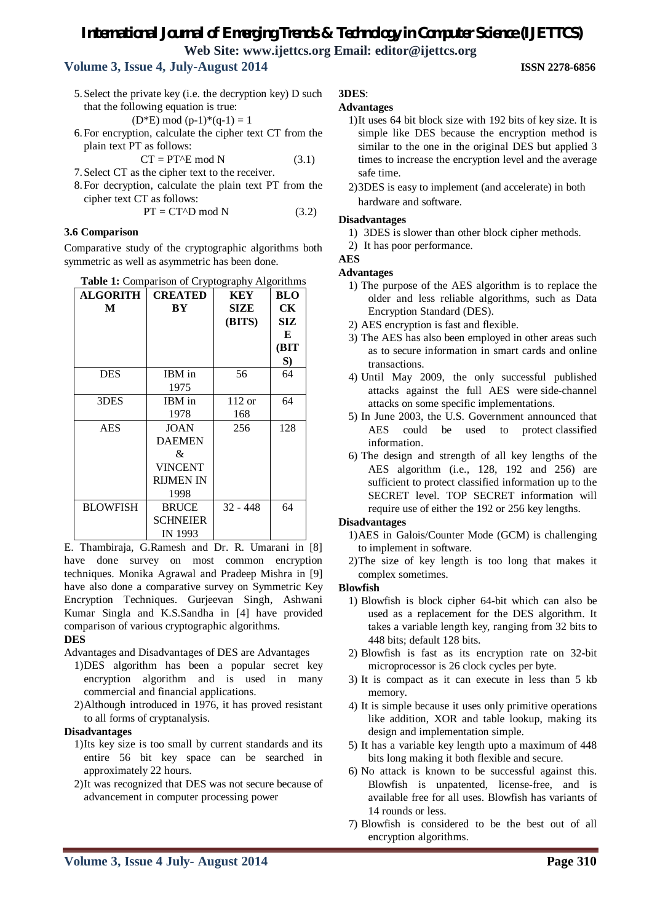# **Volume 3, Issue 4, July-August 2014 ISSN 2278-6856**

5.Select the private key (i.e. the decryption key) D such that the following equation is true:

 $(D*E) \mod (p-1)*(q-1) = 1$ 

6.For encryption, calculate the cipher text CT from the plain text PT as follows:

$$
CT = P T^E \mod N \tag{3.1}
$$

- 7.Select CT as the cipher text to the receiver.
- 8.For decryption, calculate the plain text PT from the cipher text CT as follows:

$$
PT = CT^{\wedge}D \text{ mod } N \tag{3.2}
$$

#### **3.6 Comparison**

Comparative study of the cryptographic algorithms both symmetric as well as asymmetric has been done.

| Table 1: Comparison of Cryptography Algorithms |  |  |  |  |
|------------------------------------------------|--|--|--|--|
|------------------------------------------------|--|--|--|--|

| <b>ALGORITH</b> | <b>CREATED</b>   | KEY         | <b>BLO</b> |
|-----------------|------------------|-------------|------------|
| M               | BY               | <b>SIZE</b> | CК         |
|                 |                  | (BITS)      | SIZ        |
|                 |                  |             | E          |
|                 |                  |             | (BIT       |
|                 |                  |             | S)         |
| <b>DES</b>      | IBM in           | 56          | 64         |
|                 | 1975             |             |            |
| 3DES            | IBM in           | $112$ or    | 64         |
|                 | 1978             | 168         |            |
| AES             | JOAN             | 256         | 128        |
|                 | <b>DAEMEN</b>    |             |            |
|                 | &                |             |            |
|                 | <b>VINCENT</b>   |             |            |
|                 | <b>RIJMEN IN</b> |             |            |
|                 | 1998             |             |            |
| <b>BLOWFISH</b> | <b>BRUCE</b>     | $32 - 448$  | 64         |
|                 | <b>SCHNEIER</b>  |             |            |
|                 | IN 1993          |             |            |

E. Thambiraja, G.Ramesh and Dr. R. Umarani in [8] have done survey on most common encryption techniques. Monika Agrawal and Pradeep Mishra in [9] have also done a comparative survey on Symmetric Key Encryption Techniques. Gurjeevan Singh, Ashwani Kumar Singla and K.S.Sandha in [4] have provided comparison of various cryptographic algorithms.

#### **DES**

Advantages and Disadvantages of DES are Advantages

- 1)DES algorithm has been a popular secret key encryption algorithm and is used in many commercial and financial applications.
- 2)Although introduced in 1976, it has proved resistant to all forms of cryptanalysis.

#### **Disadvantages**

- 1)Its key size is too small by current standards and its entire 56 bit key space can be searched in approximately 22 hours.
- 2)It was recognized that DES was not secure because of advancement in computer processing power

# **3DES**:

#### **Advantages**

- 1)It uses 64 bit block size with 192 bits of key size. It is simple like DES because the encryption method is similar to the one in the original DES but applied 3 times to increase the encryption level and the average safe time.
- 2)3DES is easy to implement (and accelerate) in both hardware and software.

#### **Disadvantages**

- 1) 3DES is slower than other block cipher methods.
- 2) It has poor performance.

#### **AES**

#### **Advantages**

- 1) The purpose of the AES algorithm is to replace the older and less reliable algorithms, such as Data Encryption Standard (DES).
- 2) AES encryption is fast and flexible.
- 3) The AES has also been employed in other areas such as to secure information in smart cards and online transactions.
- 4) Until May 2009, the only successful published attacks against the full AES were side-channel attacks on some specific implementations.
- 5) In June 2003, the U.S. Government announced that AES could be used to protect classified information.
- 6) The design and strength of all key lengths of the AES algorithm (i.e., 128, 192 and 256) are sufficient to protect classified information up to the SECRET level. TOP SECRET information will require use of either the 192 or 256 key lengths.

#### **Disadvantages**

- 1)AES in Galois/Counter Mode (GCM) is challenging to implement in software.
- 2)The size of key length is too long that makes it complex sometimes.

#### **Blowfish**

- 1) Blowfish is block cipher 64-bit which can also be used as a replacement for the DES algorithm. It takes a variable length key, ranging from 32 bits to 448 bits; default 128 bits.
- 2) Blowfish is fast as its encryption rate on 32-bit microprocessor is 26 clock cycles per byte.
- 3) It is compact as it can execute in less than 5 kb memory.
- 4) It is simple because it uses only primitive operations like addition, XOR and table lookup, making its design and implementation simple.
- 5) It has a variable key length upto a maximum of 448 bits long making it both flexible and secure.
- 6) No attack is known to be successful against this. Blowfish is unpatented, license-free, and is available free for all uses. Blowfish has variants of 14 rounds or less.
- 7) Blowfish is considered to be the best out of all encryption algorithms.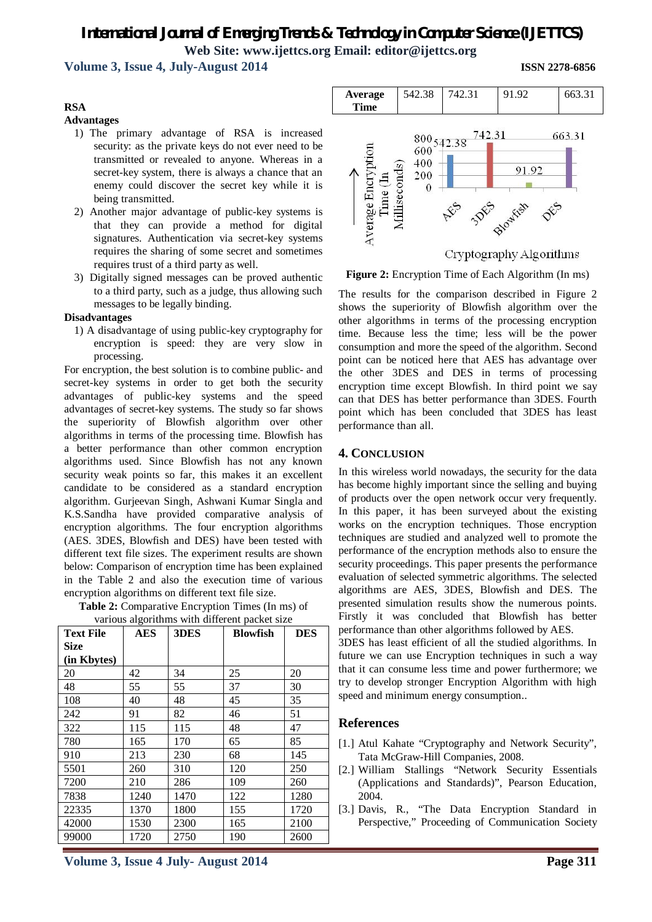### **Volume 3, Issue 4, July-August 2014 ISSN 2278-6856**

#### **RSA**

#### **Advantages**

- 1) The primary advantage of RSA is increased security: as the private keys do not ever need to be transmitted or revealed to anyone. Whereas in a secret-key system, there is always a chance that an enemy could discover the secret key while it is being transmitted.
- 2) Another major advantage of public-key systems is that they can provide a method for digital signatures. Authentication via secret-key systems requires the sharing of some secret and sometimes requires trust of a third party as well.
- 3) Digitally signed messages can be proved authentic to a third party, such as a judge, thus allowing such messages to be legally binding.

#### **Disadvantages**

1) A disadvantage of using public-key cryptography for encryption is speed: they are very slow in processing.

For encryption, the best solution is to combine public- and secret-key systems in order to get both the security advantages of public-key systems and the speed advantages of secret-key systems. The study so far shows the superiority of Blowfish algorithm over other algorithms in terms of the processing time. Blowfish has a better performance than other common encryption algorithms used. Since Blowfish has not any known security weak points so far, this makes it an excellent candidate to be considered as a standard encryption algorithm. Gurjeevan Singh, Ashwani Kumar Singla and K.S.Sandha have provided comparative analysis of encryption algorithms. The four encryption algorithms (AES. 3DES, Blowfish and DES) have been tested with different text file sizes. The experiment results are shown below: Comparison of encryption time has been explained in the Table 2 and also the execution time of various encryption algorithms on different text file size.

**Table 2:** Comparative Encryption Times (In ms) of various algorithms with different packet size

| <b>Text File</b> | <b>AES</b> | 3DES | <b>Blowfish</b> | <b>DES</b> |
|------------------|------------|------|-----------------|------------|
| <b>Size</b>      |            |      |                 |            |
| (in Kbytes)      |            |      |                 |            |
| 20               | 42         | 34   | 25              | 20         |
| 48               | 55         | 55   | 37              | 30         |
| 108              | 40         | 48   | 45              | 35         |
| 242              | 91         | 82   | 46              | 51         |
| 322              | 115        | 115  | 48              | 47         |
| 780              | 165        | 170  | 65              | 85         |
| 910              | 213        | 230  | 68              | 145        |
| 5501             | 260        | 310  | 120             | 250        |
| 7200             | 210        | 286  | 109             | 260        |
| 7838             | 1240       | 1470 | 122             | 1280       |
| 22335            | 1370       | 1800 | 155             | 1720       |
| 42000            | 1530       | 2300 | 165             | 2100       |
| 99000            | 1720       | 2750 | 190             | 2600       |



Cryptography Algorithms

**Figure 2:** Encryption Time of Each Algorithm (In ms)

The results for the comparison described in Figure 2 shows the superiority of Blowfish algorithm over the other algorithms in terms of the processing encryption time. Because less the time; less will be the power consumption and more the speed of the algorithm. Second point can be noticed here that AES has advantage over the other 3DES and DES in terms of processing encryption time except Blowfish. In third point we say can that DES has better performance than 3DES. Fourth point which has been concluded that 3DES has least performance than all.

#### **4. CONCLUSION**

In this wireless world nowadays, the security for the data has become highly important since the selling and buying of products over the open network occur very frequently. In this paper, it has been surveyed about the existing works on the encryption techniques. Those encryption techniques are studied and analyzed well to promote the performance of the encryption methods also to ensure the security proceedings. This paper presents the performance evaluation of selected symmetric algorithms. The selected algorithms are AES, 3DES, Blowfish and DES. The presented simulation results show the numerous points. Firstly it was concluded that Blowfish has better performance than other algorithms followed by AES.

3DES has least efficient of all the studied algorithms. In future we can use Encryption techniques in such a way that it can consume less time and power furthermore; we try to develop stronger Encryption Algorithm with high speed and minimum energy consumption..

#### **References**

- [1.] Atul Kahate "Cryptography and Network Security", Tata McGraw-Hill Companies, 2008.
- [2.] William Stallings "Network Security Essentials (Applications and Standards)", Pearson Education, 2004.
- [3.] Davis, R., "The Data Encryption Standard in Perspective," Proceeding of Communication Society